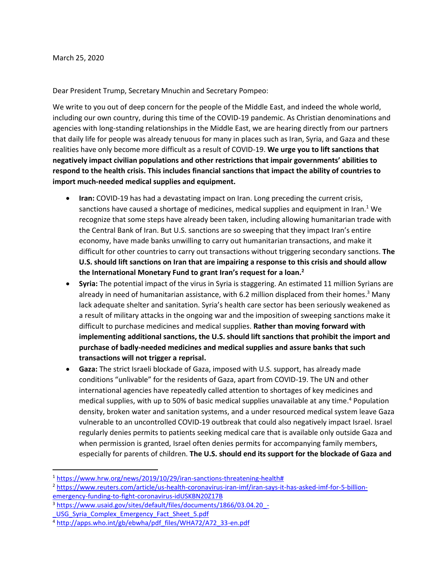Dear President Trump, Secretary Mnuchin and Secretary Pompeo:

We write to you out of deep concern for the people of the Middle East, and indeed the whole world, including our own country, during this time of the COVID-19 pandemic. As Christian denominations and agencies with long-standing relationships in the Middle East, we are hearing directly from our partners that daily life for people was already tenuous for many in places such as Iran, Syria, and Gaza and these realities have only become more difficult as a result of COVID-19. **We urge you to lift sanctions that negatively impact civilian populations and other restrictions that impair governments' abilities to respond to the health crisis. This includes financial sanctions that impact the ability of countries to import much-needed medical supplies and equipment.** 

- **Iran:** COVID-19 has had a devastating impact on Iran. Long preceding the current crisis, sanctions have caused a shortage of medicines, medical supplies and equipment in Iran. $1$  We recognize that some steps have already been taken, including allowing humanitarian trade with the Central Bank of Iran. But U.S. sanctions are so sweeping that they impact Iran's entire economy, have made banks unwilling to carry out humanitarian transactions, and make it difficult for other countries to carry out transactions without triggering secondary sanctions. **The U.S. should lift sanctions on Iran that are impairing a response to this crisis and should allow the International Monetary Fund to grant Iran's request for a loan. 2**
- **Syria:** The potential impact of the virus in Syria is staggering. An estimated 11 million Syrians are already in need of humanitarian assistance, with 6.2 million displaced from their homes. <sup>3</sup> Many lack adequate shelter and sanitation. Syria's health care sector has been seriously weakened as a result of military attacks in the ongoing war and the imposition of sweeping sanctions make it difficult to purchase medicines and medical supplies. **Rather than moving forward with implementing additional sanctions, the U.S. should lift sanctions that prohibit the import and purchase of badly-needed medicines and medical supplies and assure banks that such transactions will not trigger a reprisal.**
- **Gaza:** The strict Israeli blockade of Gaza, imposed with U.S. support, has already made conditions "unlivable" for the residents of Gaza, apart from COVID-19. The UN and other international agencies have repeatedly called attention to shortages of key medicines and medical supplies, with up to 50% of basic medical supplies unavailable at any time. <sup>4</sup> Population density, broken water and sanitation systems, and a under resourced medical system leave Gaza vulnerable to an uncontrolled COVID-19 outbreak that could also negatively impact Israel. Israel regularly denies permits to patients seeking medical care that is available only outside Gaza and when permission is granted, Israel often denies permits for accompanying family members, especially for parents of children. **The U.S. should end its support for the blockade of Gaza and**

[emergency-funding-to-fight-coronavirus-idUSKBN20Z17B](https://www.reuters.com/article/us-health-coronavirus-iran-imf/iran-says-it-has-asked-imf-for-5-billion-emergency-funding-to-fight-coronavirus-idUSKBN20Z17B)

<sup>1</sup> [https://www.hrw.org/news/2019/10/29/iran-sanctions-threatening-health#](https://www.hrw.org/news/2019/10/29/iran-sanctions-threatening-health)

<sup>2</sup> [https://www.reuters.com/article/us-health-coronavirus-iran-imf/iran-says-it-has-asked-imf-for-5-billion-](https://www.reuters.com/article/us-health-coronavirus-iran-imf/iran-says-it-has-asked-imf-for-5-billion-emergency-funding-to-fight-coronavirus-idUSKBN20Z17B)

<sup>3</sup> [https://www.usaid.gov/sites/default/files/documents/1866/03.04.20\\_-](https://www.usaid.gov/sites/default/files/documents/1866/03.04.20_-_USG_Syria_Complex_Emergency_Fact_Sheet_5.pdf)

USG Syria Complex Emergency Fact Sheet 5.pdf

<sup>4</sup> [http://apps.who.int/gb/ebwha/pdf\\_files/WHA72/A72\\_33-en.pdf](http://apps.who.int/gb/ebwha/pdf_files/WHA72/A72_33-en.pdf)